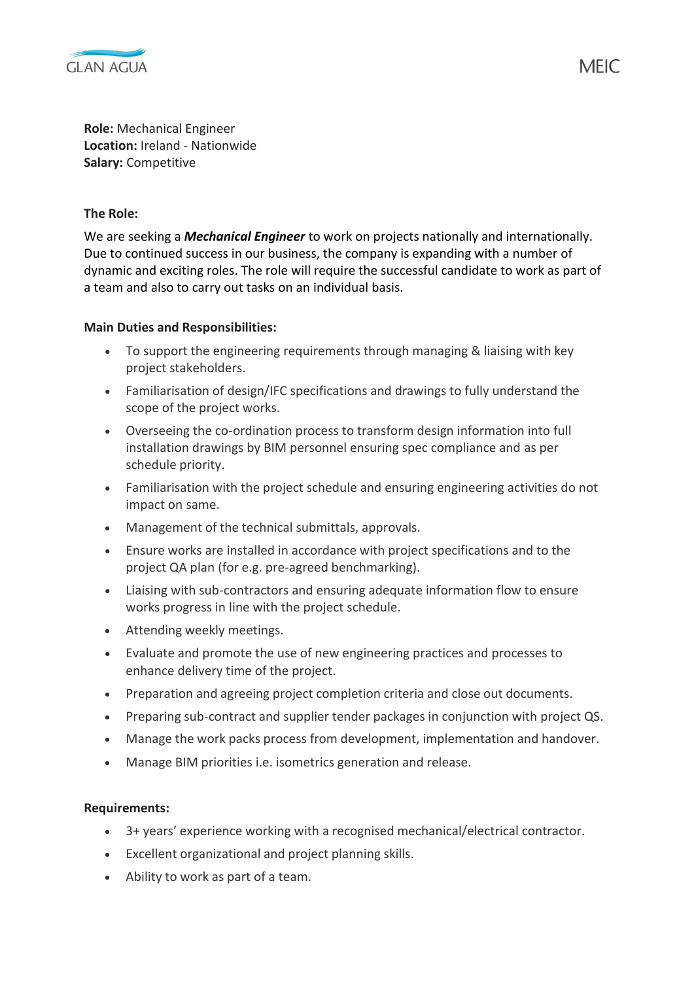

**Role:** Mechanical Engineer **Location:** Ireland - Nationwide **Salary:** Competitive

## **The Role:**

We are seeking a *Mechanical Engineer* to work on projects nationally and internationally. Due to continued success in our business, the company is expanding with a number of dynamic and exciting roles. The role will require the successful candidate to work as part of a team and also to carry out tasks on an individual basis.

## **Main Duties and Responsibilities:**

- To support the engineering requirements through managing & liaising with key project stakeholders.
- Familiarisation of design/IFC specifications and drawings to fully understand the scope of the project works.
- Overseeing the co-ordination process to transform design information into full installation drawings by BIM personnel ensuring spec compliance and as per schedule priority.
- Familiarisation with the project schedule and ensuring engineering activities do not impact on same.
- Management of the technical submittals, approvals.
- Ensure works are installed in accordance with project specifications and to the project QA plan (for e.g. pre-agreed benchmarking).
- Liaising with sub-contractors and ensuring adequate information flow to ensure works progress in line with the project schedule.
- Attending weekly meetings.
- Evaluate and promote the use of new engineering practices and processes to enhance delivery time of the project.
- Preparation and agreeing project completion criteria and close out documents.
- Preparing sub-contract and supplier tender packages in conjunction with project QS.
- Manage the work packs process from development, implementation and handover.
- Manage BIM priorities i.e. isometrics generation and release.

## **Requirements:**

- 3+ years' experience working with a recognised mechanical/electrical contractor.
- Excellent organizational and project planning skills.
- Ability to work as part of a team.